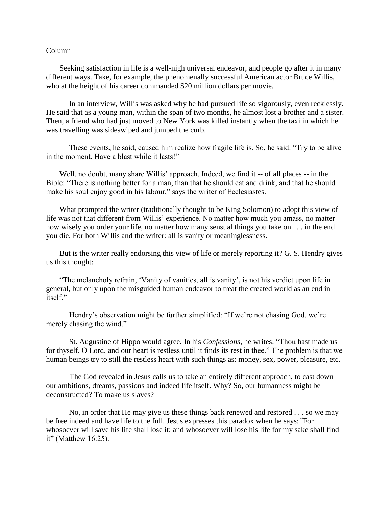## Column

 Seeking satisfaction in life is a well-nigh universal endeavor, and people go after it in many different ways. Take, for example, the phenomenally successful American actor Bruce Willis, who at the height of his career commanded \$20 million dollars per movie.

In an interview, Willis was asked why he had pursued life so vigorously, even recklessly. He said that as a young man, within the span of two months, he almost lost a brother and a sister. Then, a friend who had just moved to New York was killed instantly when the taxi in which he was travelling was sideswiped and jumped the curb.

These events, he said, caused him realize how fragile life is. So, he said: "Try to be alive in the moment. Have a blast while it lasts!"

 Well, no doubt, many share Willis' approach. Indeed, we find it -- of all places -- in the Bible: "There is nothing better for a man, than that he should eat and drink, and that he should make his soul enjoy good in his labour," says the writer of Ecclesiastes.

 What prompted the writer (traditionally thought to be King Solomon) to adopt this view of life was not that different from Willis' experience. No matter how much you amass, no matter how wisely you order your life, no matter how many sensual things you take on . . . in the end you die. For both Willis and the writer: all is vanity or meaninglessness.

 But is the writer really endorsing this view of life or merely reporting it? G. S. Hendry gives us this thought:

 "The melancholy refrain, 'Vanity of vanities, all is vanity', is not his verdict upon life in general, but only upon the misguided human endeavor to treat the created world as an end in itself."

Hendry's observation might be further simplified: "If we're not chasing God, we're merely chasing the wind."

St. Augustine of Hippo would agree. In his *Confessions*, he writes: "Thou hast made us for thyself, O Lord, and our heart is restless until it finds its rest in thee." The problem is that we human beings try to still the restless heart with such things as: money, sex, power, pleasure, etc.

 The God revealed in Jesus calls us to take an entirely different approach, to cast down our ambitions, dreams, passions and indeed life itself. Why? So, our humanness might be deconstructed? To make us slaves?

No, in order that He may give us these things back renewed and restored . . . so we may be free indeed and have life to the full. Jesus expresses this paradox when he says: **"**For whosoever will save his life shall lose it: and whosoever will lose his life for my sake shall find it" (Matthew 16:25).